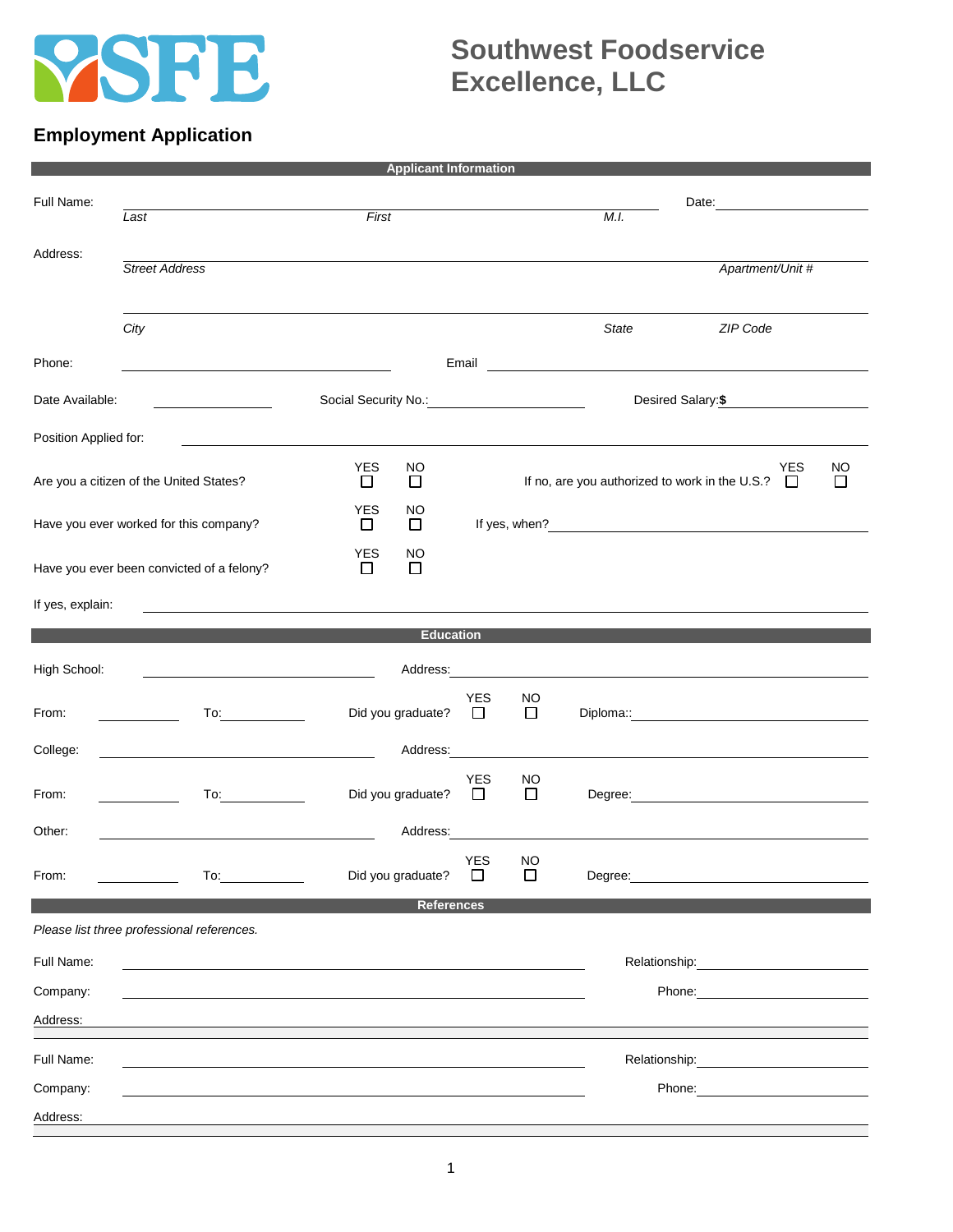

## **Southwest Foodservice Excellence, LLC**

## **Employment Application**

| <b>Applicant Information</b>            |                                                                                                                                                                                                                                |                                        |                                                |                     |                                               |                                                                                                                                                                                                                                |  |  |  |  |
|-----------------------------------------|--------------------------------------------------------------------------------------------------------------------------------------------------------------------------------------------------------------------------------|----------------------------------------|------------------------------------------------|---------------------|-----------------------------------------------|--------------------------------------------------------------------------------------------------------------------------------------------------------------------------------------------------------------------------------|--|--|--|--|
| Full Name:                              | $\overline{Last}$                                                                                                                                                                                                              | First                                  |                                                |                     | M.I.                                          | Date: <u>______________</u>                                                                                                                                                                                                    |  |  |  |  |
| Address:                                | <b>Street Address</b>                                                                                                                                                                                                          |                                        |                                                |                     |                                               | Apartment/Unit #                                                                                                                                                                                                               |  |  |  |  |
|                                         | City                                                                                                                                                                                                                           |                                        |                                                |                     | <b>State</b>                                  | ZIP Code                                                                                                                                                                                                                       |  |  |  |  |
| Phone:                                  |                                                                                                                                                                                                                                | Email                                  |                                                |                     | <u> 1980 - Andrea Andrew Maria (h. 1980).</u> |                                                                                                                                                                                                                                |  |  |  |  |
| Date Available:                         |                                                                                                                                                                                                                                |                                        |                                                |                     |                                               | Desired Salary: \$                                                                                                                                                                                                             |  |  |  |  |
| Position Applied for:                   |                                                                                                                                                                                                                                |                                        |                                                |                     |                                               |                                                                                                                                                                                                                                |  |  |  |  |
| Are you a citizen of the United States? |                                                                                                                                                                                                                                | <b>YES</b><br><b>NO</b><br>□<br>$\Box$ | If no, are you authorized to work in the U.S.? |                     |                                               | <b>YES</b><br><b>NO</b><br>$\Box$<br>$\Box$                                                                                                                                                                                    |  |  |  |  |
| Have you ever worked for this company?  |                                                                                                                                                                                                                                | <b>YES</b><br>NO<br>$\Box$<br>□        |                                                |                     |                                               | If yes, when?<br><u>If</u> yes, when?                                                                                                                                                                                          |  |  |  |  |
|                                         | Have you ever been convicted of a felony?                                                                                                                                                                                      | <b>YES</b><br>NO<br>$\Box$<br>□        |                                                |                     |                                               |                                                                                                                                                                                                                                |  |  |  |  |
| If yes, explain:                        |                                                                                                                                                                                                                                |                                        |                                                |                     |                                               |                                                                                                                                                                                                                                |  |  |  |  |
| <b>Education</b>                        |                                                                                                                                                                                                                                |                                        |                                                |                     |                                               |                                                                                                                                                                                                                                |  |  |  |  |
| High School:                            | <u> 1989 - Johann Barbara, martin a</u>                                                                                                                                                                                        |                                        |                                                |                     |                                               | Address: Note that the contract of the contract of the contract of the contract of the contract of the contract of the contract of the contract of the contract of the contract of the contract of the contract of the contrac |  |  |  |  |
| From:                                   |                                                                                                                                                                                                                                | Did you graduate?                      | <b>YES</b><br>$\Box$                           | <b>NO</b><br>$\Box$ |                                               |                                                                                                                                                                                                                                |  |  |  |  |
| College:                                |                                                                                                                                                                                                                                | Address:                               |                                                |                     |                                               |                                                                                                                                                                                                                                |  |  |  |  |
| From:                                   |                                                                                                                                                                                                                                | Did you graduate?                      | <b>YES</b><br>$\Box$                           | NO.<br>$\Box$       |                                               | Degree: <u>www.community.community.community.community.com</u>                                                                                                                                                                 |  |  |  |  |
| Other:                                  |                                                                                                                                                                                                                                | Address:                               |                                                |                     |                                               | <u> 1989 - Johann Johann Stoff, deutscher Stoffen und der Stoffen und der Stoffen und der Stoffen und der Stoffen</u>                                                                                                          |  |  |  |  |
| From:                                   | To: the contract of the contract of the contract of the contract of the contract of the contract of the contract of the contract of the contract of the contract of the contract of the contract of the contract of the contra | Did you graduate?                      | YES NO<br>$\Box$                               | □                   |                                               | Degree: the contract of the contract of the contract of the contract of the contract of the contract of the contract of the contract of the contract of the contract of the contract of the contract of the contract of the co |  |  |  |  |
|                                         |                                                                                                                                                                                                                                | <b>References</b>                      |                                                |                     |                                               |                                                                                                                                                                                                                                |  |  |  |  |
|                                         | Please list three professional references.                                                                                                                                                                                     |                                        |                                                |                     |                                               |                                                                                                                                                                                                                                |  |  |  |  |
| Full Name:                              |                                                                                                                                                                                                                                |                                        |                                                |                     |                                               |                                                                                                                                                                                                                                |  |  |  |  |
| Company:                                |                                                                                                                                                                                                                                |                                        |                                                |                     |                                               |                                                                                                                                                                                                                                |  |  |  |  |
| Address:                                |                                                                                                                                                                                                                                |                                        |                                                |                     |                                               |                                                                                                                                                                                                                                |  |  |  |  |
| Full Name:                              |                                                                                                                                                                                                                                |                                        |                                                |                     | Relationship:                                 |                                                                                                                                                                                                                                |  |  |  |  |
| Company:                                |                                                                                                                                                                                                                                |                                        |                                                |                     |                                               | Phone:                                                                                                                                                                                                                         |  |  |  |  |
| Address:                                |                                                                                                                                                                                                                                |                                        |                                                |                     |                                               |                                                                                                                                                                                                                                |  |  |  |  |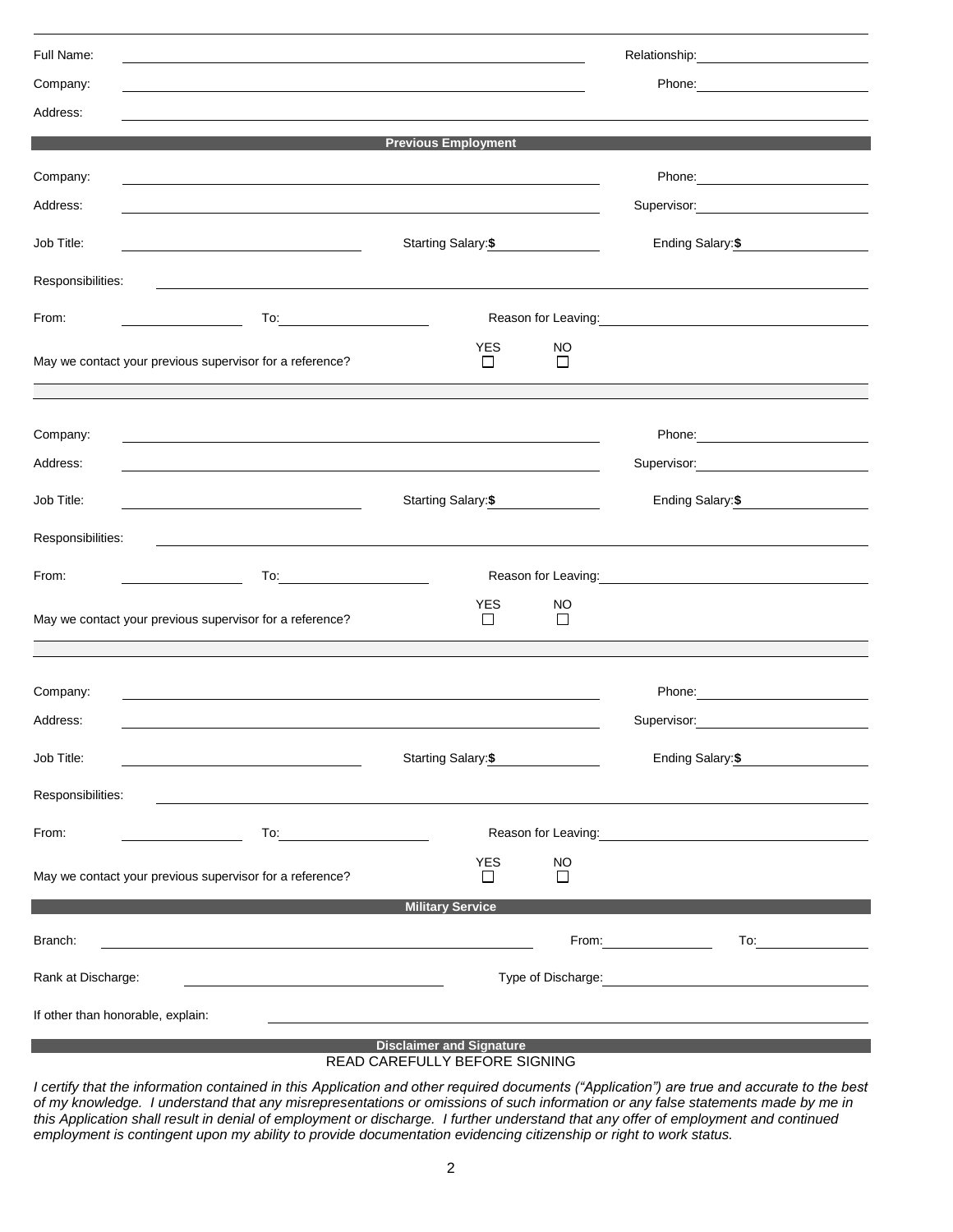| Full Name:                                                       |                                                                                                                                               |                                                                                                               |               |                                                                                                                                                                                                                                      |  |  |  |  |  |
|------------------------------------------------------------------|-----------------------------------------------------------------------------------------------------------------------------------------------|---------------------------------------------------------------------------------------------------------------|---------------|--------------------------------------------------------------------------------------------------------------------------------------------------------------------------------------------------------------------------------------|--|--|--|--|--|
| Company:                                                         |                                                                                                                                               |                                                                                                               |               | Phone: <u>___________________</u>                                                                                                                                                                                                    |  |  |  |  |  |
| Address:                                                         |                                                                                                                                               |                                                                                                               |               |                                                                                                                                                                                                                                      |  |  |  |  |  |
|                                                                  |                                                                                                                                               | <b>Previous Employment</b>                                                                                    |               |                                                                                                                                                                                                                                      |  |  |  |  |  |
| Company:                                                         |                                                                                                                                               |                                                                                                               |               |                                                                                                                                                                                                                                      |  |  |  |  |  |
| Address:                                                         |                                                                                                                                               |                                                                                                               |               | Supervisor: 2000                                                                                                                                                                                                                     |  |  |  |  |  |
| Job Title:                                                       |                                                                                                                                               | Starting Salary: \$                                                                                           |               | Ending Salary: \$                                                                                                                                                                                                                    |  |  |  |  |  |
| Responsibilities:                                                |                                                                                                                                               |                                                                                                               |               |                                                                                                                                                                                                                                      |  |  |  |  |  |
| From:                                                            |                                                                                                                                               |                                                                                                               |               | Reason for Leaving: Note and the set of the set of the set of the set of the set of the set of the set of the set of the set of the set of the set of the set of the set of the set of the set of the set of the set of the se       |  |  |  |  |  |
|                                                                  | May we contact your previous supervisor for a reference?                                                                                      | <b>YES</b><br>$\Box$                                                                                          | NO<br>$\Box$  |                                                                                                                                                                                                                                      |  |  |  |  |  |
| Company:                                                         |                                                                                                                                               |                                                                                                               |               | Phone: 2008                                                                                                                                                                                                                          |  |  |  |  |  |
| Address:                                                         | <u> 1989 - Andrea Santa Andrea Andrea Andrea Andrea Andrea Andrea Andrea Andrea Andrea Andrea Andrea Andrea Andr</u>                          |                                                                                                               |               | Supervisor: 2000                                                                                                                                                                                                                     |  |  |  |  |  |
| Job Title:                                                       | Starting Salary: \$<br><u> 1989 - Johann Barn, mars ann an t-Amhain ann an t-Amhain an t-Amhain an t-Amhain an t-Amhain an t-Amhain an t-</u> | Ending Salary: \$                                                                                             |               |                                                                                                                                                                                                                                      |  |  |  |  |  |
| Responsibilities:                                                |                                                                                                                                               |                                                                                                               |               |                                                                                                                                                                                                                                      |  |  |  |  |  |
| From:                                                            |                                                                                                                                               | Reason for Leaving: Network and Separate and Separate and Separate and Separate and Separate and Separate and |               |                                                                                                                                                                                                                                      |  |  |  |  |  |
|                                                                  | May we contact your previous supervisor for a reference?                                                                                      | <b>YES</b><br>$\Box$                                                                                          | NO<br>$\Box$  |                                                                                                                                                                                                                                      |  |  |  |  |  |
| Company:                                                         |                                                                                                                                               |                                                                                                               |               |                                                                                                                                                                                                                                      |  |  |  |  |  |
| Address:                                                         |                                                                                                                                               |                                                                                                               |               | Supervisor:                                                                                                                                                                                                                          |  |  |  |  |  |
| Job Title:                                                       | <u> 1980 - Johann Barn, mars an t-Amerikaansk ferske ferhald (* 1918)</u>                                                                     | Starting Salary: \$                                                                                           |               |                                                                                                                                                                                                                                      |  |  |  |  |  |
| Responsibilities:                                                |                                                                                                                                               |                                                                                                               |               |                                                                                                                                                                                                                                      |  |  |  |  |  |
| From:                                                            |                                                                                                                                               |                                                                                                               |               | Reason for Leaving: Note and the set of the set of the set of the set of the set of the set of the set of the set of the set of the set of the set of the set of the set of the set of the set of the set of the set of the se       |  |  |  |  |  |
|                                                                  | May we contact your previous supervisor for a reference?                                                                                      | <b>YES</b><br>$\perp$                                                                                         | NO.<br>$\Box$ |                                                                                                                                                                                                                                      |  |  |  |  |  |
|                                                                  |                                                                                                                                               | <b>Military Service</b>                                                                                       |               |                                                                                                                                                                                                                                      |  |  |  |  |  |
| Branch:                                                          |                                                                                                                                               |                                                                                                               |               | From:                                                                                                                                                                                                                                |  |  |  |  |  |
| Rank at Discharge:                                               |                                                                                                                                               |                                                                                                               |               | Type of Discharge: <u>contract and the set of the set of the set of the set of the set of the set of the set of the set of the set of the set of the set of the set of the set of the set of the set of the set of the set of th</u> |  |  |  |  |  |
| If other than honorable, explain:                                |                                                                                                                                               |                                                                                                               |               |                                                                                                                                                                                                                                      |  |  |  |  |  |
| <b>Disclaimer and Signature</b><br>READ CAREFULLY BEFORE SIGNING |                                                                                                                                               |                                                                                                               |               |                                                                                                                                                                                                                                      |  |  |  |  |  |

*I certify that the information contained in this Application and other required documents ("Application") are true and accurate to the best of my knowledge. I understand that any misrepresentations or omissions of such information or any false statements made by me in this Application shall result in denial of employment or discharge. I further understand that any offer of employment and continued employment is contingent upon my ability to provide documentation evidencing citizenship or right to work status.*